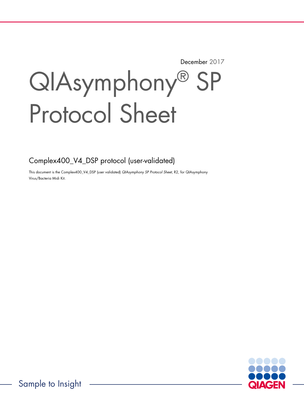December 2017

# QIAsymphony® SP Protocol Sheet

Complex400\_V4\_DSP protocol (user-validated)

This document is the Complex400\_V4\_DSP (user validated) QIAsymphony SP Protocol Sheet, R2, for QIAsymphony Virus/Bacteria Midi Kit.

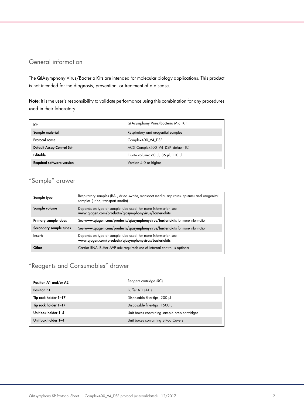## General information

The QIAsymphony Virus/Bacteria Kits are intended for molecular biology applications. This product is not intended for the diagnosis, prevention, or treatment of a disease.

Note: It is the user's responsibility to validate performance using this combination for any procedures used in their laboratory.

| Kit                              | QIAsymphony Virus/Bacteria Midi Kit |
|----------------------------------|-------------------------------------|
| Sample material                  | Respiratory and urogenital samples  |
| Protocol name                    | Complex400 V4 DSP                   |
| <b>Default Assay Control Set</b> | ACS_Complex400_V4_DSP_default_IC    |
| Editable                         | Eluate volume: 60 µl, 85 µl, 110 µl |
| <b>Required software version</b> | Version 4.0 or higher               |

# "Sample" drawer

| Sample type            | Respiratory samples (BAL, dried swabs, transport media, aspirates, sputum) and urogenital<br>samples (urine, transport media) |
|------------------------|-------------------------------------------------------------------------------------------------------------------------------|
| Sample volume          | Depends on type of sample tube used; for more information see<br>www.qiagen.com/products/qiasymphonyvirus/bacteriakits        |
| Primary sample tubes   | See www.qiagen.com/products/qiasymphonyvirus/bacteriakits for more information                                                |
| Secondary sample tubes | See www.qiagen.com/products/qiasymphonyvirus/bacteriakits for more information                                                |
| Inserts                | Depends on type of sample tube used; for more information see<br>www.qiagen.com/products/qiasymphonyvirus/bacteriakits        |
| Other                  | Carrier RNA-Buffer AVE mix required; use of internal control is optional                                                      |

# "Reagents and Consumables" drawer

| Position A1 and/or A2 | Reagent cartridge (RC)                       |
|-----------------------|----------------------------------------------|
| <b>Position B1</b>    | Buffer ATL (ATL)                             |
| Tip rack holder 1-17  | Disposable filter-tips, 200 µl               |
| Tip rack holder 1-17  | Disposable filter-tips, 1500 µl              |
| Unit box holder 1-4   | Unit boxes containing sample prep cartridges |
| Unit box holder 1-4   | Unit boxes containing 8-Rod Covers           |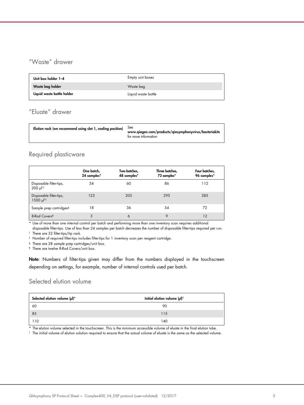# "Waste" drawer

| Unit box holder 1-4        | Empty unit boxes    |
|----------------------------|---------------------|
| Waste bag holder           | Waste bag           |
| Liquid waste bottle holder | Liquid waste bottle |

# "Eluate" drawer

| Elution rack (we recommend using slot 1, cooling position)<br><b>See</b><br>www.qiagen.com/products/qiasymphonyvirus/bacteriakits<br>for more information |
|-----------------------------------------------------------------------------------------------------------------------------------------------------------|
|-----------------------------------------------------------------------------------------------------------------------------------------------------------|

## Required plasticware

|                                                    | One batch,<br>24 samples* | Two batches,<br>48 samples* | Three batches,<br>72 samples* | Four batches,<br>96 samples* |
|----------------------------------------------------|---------------------------|-----------------------------|-------------------------------|------------------------------|
| Disposable filter-tips,<br>$200 \mu$ <sup>11</sup> | 34                        | 60                          | 86                            | 112                          |
| Disposable filter-tips,<br>1500 µl <sup>†‡</sup>   | 123                       | 205                         | 295                           | 385                          |
| Sample prep cartridges <sup>§</sup>                | 18                        | 36                          | 54                            | 72                           |
| 8-Rod Covers <sup>1</sup>                          | 3                         | 6                           | 9                             | 12                           |

\* Use of more than one internal control per batch and performing more than one inventory scan requires additional

disposable filter-tips. Use of less than 24 samples per batch decreases the number of disposable filter-tips required per run. † There are 32 filter-tips/tip rack.

‡ Number of required filter-tips includes filter-tips for 1 inventory scan per reagent cartridge.

§ There are 28 sample prep cartridges/unit box.

¶ There are twelve 8-Rod Covers/unit box.

Note: Numbers of filter-tips given may differ from the numbers displayed in the touchscreen depending on settings, for example, number of internal controls used per batch.

## Selected elution volume

| Selected elution volume (µl)* | Initial elution volume (µl) <sup>t</sup> |
|-------------------------------|------------------------------------------|
| 60                            | 90                                       |
| 85                            | 115                                      |
| 110                           | 140                                      |

\* The elution volume selected in the touchscreen. This is the minimum accessible volume of eluate in the final elution tube.

† The initial volume of elution solution required to ensure that the actual volume of eluate is the same as the selected volume.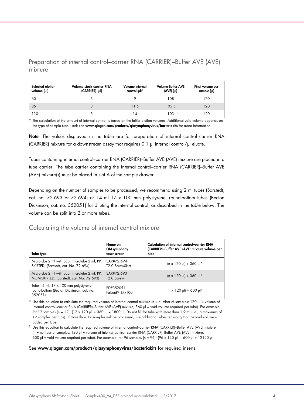Preparation of internal control–carrier RNA (CARRIER)–Buffer AVE (AVE) mixture

| Selected elution<br>volume (µl) | Volume stock carrier RNA<br>(CARRIER) (pl) | Volume internal<br>control (µl)* | <b>Volume Buffer AVE</b><br>(AVE) (µl) | Final volume per<br>sample (µl) |
|---------------------------------|--------------------------------------------|----------------------------------|----------------------------------------|---------------------------------|
| 60                              |                                            |                                  | 108                                    | 120                             |
| 85                              |                                            | 11.5                             | 105.5                                  | 120                             |
| 110                             |                                            |                                  | 103                                    | 120                             |

\* The calculation of the amount of internal control is based on the initial elution volumes. Additional void volume depends on the type of sample tube used; see www.qiagen.com/products/giasymphonyvirus/bacteriakits for more information.

Note: The values displayed in the table are for preparation of internal control–carrier RNA (CARRIER) mixture for a downstream assay that requires 0.1  $\mu$  internal control/ $\mu$  eluate.

Tubes containing internal control–carrier RNA (CARRIER)–Buffer AVE (AVE) mixture are placed in a tube carrier. The tube carrier containing the internal control–carrier RNA (CARRIER)–Buffer AVE (AVE) mixture(s) must be placed in slot A of the sample drawer.

Depending on the number of samples to be processed, we recommend using 2 ml tubes (Sarstedt, cat. no. 72.693 or 72.694) or 14 ml 17 x 100 mm polystyrene, round-bottom tubes (Becton Dickinson, cat. no. 352051) for diluting the internal control, as described in the table below. The volume can be split into 2 or more tubes.

## Calculating the volume of internal control mixture

| Tube type                                                                                  | Name on<br>QIAsymphony<br>touchscreen      | Calculation of internal control-carrier RNA<br>(CARRIER)-Buffer AVE (AVE) mixture volume per<br>tube |
|--------------------------------------------------------------------------------------------|--------------------------------------------|------------------------------------------------------------------------------------------------------|
| Microtube 2 ml with cap; microtube 2 ml, PP,<br>SKIRTED, (Sarstedt, cat. No. 72.694)       | SAR#72.694<br>T <sub>2</sub> .0 ScrewSkirt | $(n \times 120 \text{ pl}) + 360 \text{ pl}$ *                                                       |
| Microtube 2 ml with cap; microtube 2 ml, PP,<br>NON-SKIRTED, (Sarstedt, cat. No. 72.693)   | SAR#72.693<br>T <sub>2.0</sub> Screw       | $(n \times 120 \text{ pl}) + 360 \text{ pl}^*$                                                       |
| Tube 14 ml, 17 x 100 mm polystyrene<br>round-bottom (Becton Dickinson, cat. no.<br>352051) | BD#352051<br>FalconPP 17x100               | $(n \times 120 \text{ pl}) + 600 \text{ pl}^{\dagger}$                                               |

\* Use this equation to calculate the required volume of internal control mixture (n = number of samples; 120 µl = volume of internal control–carrier RNA (CARRIER)–Buffer AVE (AVE) mixture; 360 µl = void volume required per tube). For example, for 12 samples (n = 12):  $(12 \times 120 \text{ pl}) + 360 \text{ pl} = 1800 \text{ pl}$ . Do not fill the tube with more than 1.9 ml (i.e., a maximum of 12 samples per tube). If more than 12 samples will be processed, use additional tubes, ensuring that the void volume is added per tube.

 $^\dagger$  Use this equation to calculate the required volume of internal control–carrier RNA (CARRIER)–Buffer AVE (AVE) mixture (n = number of samples; 120 µl = volume of internal control–carrier RNA (CARRIER)–Buffer AVE (AVE) mixture; 600 µl = void volume required per tube). For example, for 96 samples (n = 96): (96 x 120 µl) + 600 µl = 12120 µl.

#### See www.qiagen.com/products/qiasymphonyvirus/bacteriakits for required inserts.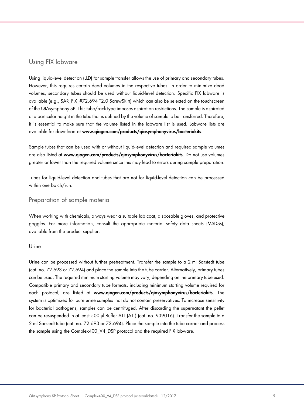## Using FIX labware

Using liquid-level detection (LLD) for sample transfer allows the use of primary and secondary tubes. However, this requires certain dead volumes in the respective tubes. In order to minimize dead volumes, secondary tubes should be used without liquid-level detection. Specific FIX labware is available (e.g., SAR\_FIX\_#72.694 T2.0 ScrewSkirt) which can also be selected on the touchscreen of the QIAsymphony SP. This tube/rack type imposes aspiration restrictions. The sample is aspirated at a particular height in the tube that is defined by the volume of sample to be transferred. Therefore, it is essential to make sure that the volume listed in the labware list is used. Labware lists are available for download at www.qiagen.com/products/qiasymphonyvirus/bacteriakits.

Sample tubes that can be used with or without liquid-level detection and required sample volumes are also listed at www.qiagen.com/products/qiasymphonyvirus/bacteriakits. Do not use volumes greater or lower than the required volume since this may lead to errors during sample preparation.

Tubes for liquid-level detection and tubes that are not for liquid-level detection can be processed within one batch/run.

## Preparation of sample material

When working with chemicals, always wear a suitable lab coat, disposable gloves, and protective goggles. For more information, consult the appropriate material safety data sheets (MSDSs), available from the product supplier.

#### Urine

Urine can be processed without further pretreatment. Transfer the sample to a 2 ml Sarstedt tube (cat. no. 72.693 or 72.694) and place the sample into the tube carrier. Alternatively, primary tubes can be used. The required minimum starting volume may vary, depending on the primary tube used. Compatible primary and secondary tube formats, including minimum starting volume required for each protocol, are listed at www.qiagen.com/products/qiasymphonyvirus/bacteriakits. The system is optimized for pure urine samples that do not contain preservatives. To increase sensitivity for bacterial pathogens, samples can be centrifuged. After discarding the supernatant the pellet can be resuspended in at least 500 µl Buffer ATL (ATL) (cat. no. 939016). Transfer the sample to a 2 ml Sarstedt tube (cat. no. 72.693 or 72.694). Place the sample into the tube carrier and process the sample using the Complex400\_V4\_DSP protocol and the required FIX labware.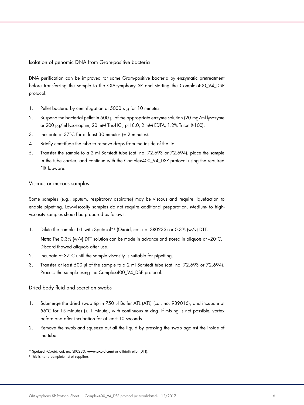Isolation of genomic DNA from Gram-positive bacteria

DNA purification can be improved for some Gram-positive bacteria by enzymatic pretreatment before transferring the sample to the QIAsymphony SP and starting the Complex400\_V4\_DSP protocol.

- 1. Pellet bacteria by centrifugation at  $5000 \times g$  for 10 minutes.
- 2. Suspend the bacterial pellet in 500 µl of the appropriate enzyme solution (20 mg/ml lysozyme or 200 µg/ml lysostaphin; 20 mM Tris·HCl, pH 8.0; 2 mM EDTA; 1.2% Triton X-100).
- 3. Incubate at 37°C for at least 30 minutes (± 2 minutes).
- 4. Briefly centrifuge the tube to remove drops from the inside of the lid.
- 5. Transfer the sample to a 2 ml Sarstedt tube (cat. no. 72.693 or 72.694), place the sample in the tube carrier, and continue with the Complex400\_V4\_DSP protocol using the required FIX labware.

#### Viscous or mucous samples

Some samples (e.g., sputum, respiratory aspirates) may be viscous and require liquefaction to enable pipetting. Low-viscosity samples do not require additional preparation. Medium- to highviscosity samples should be prepared as follows:

- 1. Dilute the sample 1:1 with Sputasol\*† (Oxoid, cat. no. SR0233) or 0.3% (w/v) DTT. Note: The 0.3% (w/v) DTT solution can be made in advance and stored in aliquots at -20°C. Discard thawed aliquots after use.
- 2. Incubate at 37°C until the sample viscosity is suitable for pipetting.
- 3. Transfer at least 500 µl of the sample to a 2 ml Sarstedt tube (cat. no. 72.693 or 72.694). Process the sample using the Complex400\_V4\_DSP protocol.

#### Dried body fluid and secretion swabs

- 1. Submerge the dried swab tip in 750 µl Buffer ATL (ATL) (cat. no. 939016), and incubate at 56°C for 15 minutes (± 1 minute), with continuous mixing. If mixing is not possible, vortex before and after incubation for at least 10 seconds.
- 2. Remove the swab and squeeze out all the liquid by pressing the swab against the inside of the tube.

<sup>\*</sup> Sputasol (Oxoid, cat. no. SR0233, www.oxoid.com) or dithiothreitol (DTT).

<sup>†</sup> This is not a complete list of suppliers.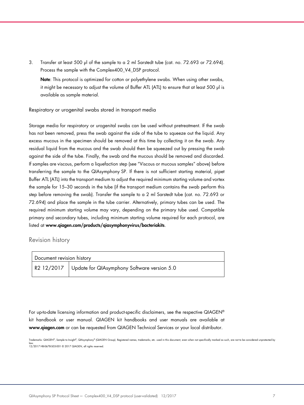3. Transfer at least 500 µl of the sample to a 2 ml Sarstedt tube (cat. no. 72.693 or 72.694). Process the sample with the Complex400\_V4\_DSP protocol.

Note: This protocol is optimized for cotton or polyethylene swabs. When using other swabs, it might be necessary to adjust the volume of Buffer ATL (ATL) to ensure that at least 500 µl is available as sample material.

#### Respiratory or urogenital swabs stored in transport media

Storage media for respiratory or urogenital swabs can be used without pretreatment. If the swab has not been removed, press the swab against the side of the tube to squeeze out the liquid. Any excess mucous in the specimen should be removed at this time by collecting it on the swab. Any residual liquid from the mucous and the swab should then be squeezed out by pressing the swab against the side of the tube. Finally, the swab and the mucous should be removed and discarded. If samples are viscous, perform a liquefaction step (see "Viscous or mucous samples" above) before transferring the sample to the QIAsymphony SP. If there is not sufficient starting material, pipet Buffer ATL (ATL) into the transport medium to adjust the required minimum starting volume and vortex the sample for 15–30 seconds in the tube (if the transport medium contains the swab perform this step before removing the swab). Transfer the sample to a 2 ml Sarstedt tube (cat. no. 72.693 or 72.694) and place the sample in the tube carrier. Alternatively, primary tubes can be used. The required minimum starting volume may vary, depending on the primary tube used. Compatible primary and secondary tubes, including minimum starting volume required for each protocol, are listed at www.qiagen.com/products/qiasymphonyvirus/bacteriakits.

### Revision history

| Document revision history |                                                                    |  |
|---------------------------|--------------------------------------------------------------------|--|
|                           | , R2 12/2017 $\,$ Update for QIAsymphony Software version 5.0 $\,$ |  |

For up-to-date licensing information and product-specific disclaimers, see the respective QIAGEN® kit handbook or user manual. QIAGEN kit handbooks and user manuals are available at www.qiagen.com or can be requested from QIAGEN Technical Services or your local distributor.

Trademarks: QIAGEN®, Sample to Insight®, QIAsymphony® (QIAGEN Group). Registered names, trademarks, etc. used in this document, even when not specifically marked as such, are not to be considered unprotected by law. 12/2017 HB-0678-S03-001 © 2017 QIAGEN, all rights reserved.